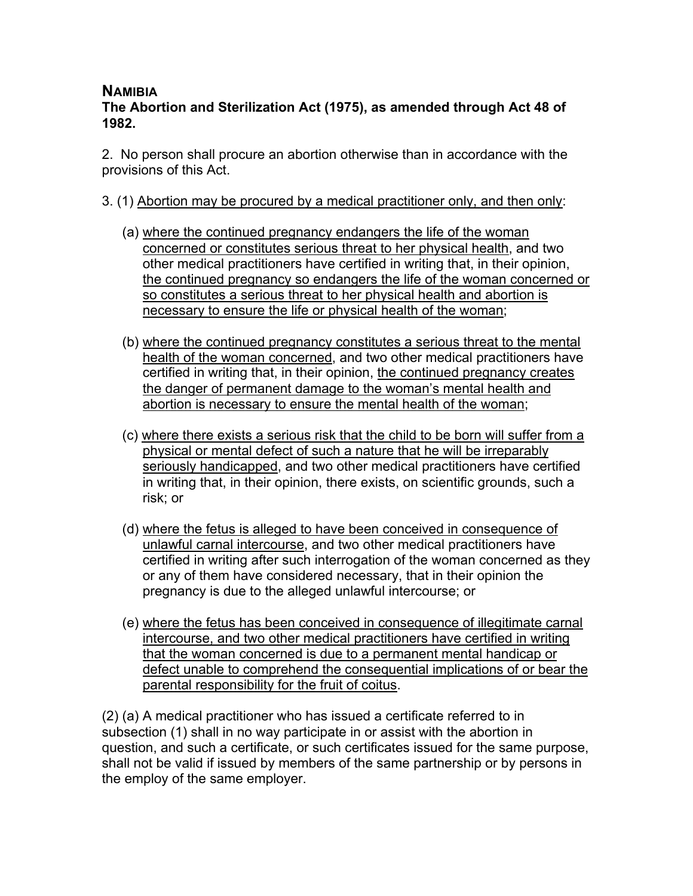## **NAMIBIA**

**The Abortion and Sterilization Act (1975), as amended through Act 48 of 1982.**

2. No person shall procure an abortion otherwise than in accordance with the provisions of this Act.

- 3. (1) Abortion may be procured by a medical practitioner only, and then only:
	- (a) where the continued pregnancy endangers the life of the woman concerned or constitutes serious threat to her physical health, and two other medical practitioners have certified in writing that, in their opinion, the continued pregnancy so endangers the life of the woman concerned or so constitutes a serious threat to her physical health and abortion is necessary to ensure the life or physical health of the woman;
	- (b) where the continued pregnancy constitutes a serious threat to the mental health of the woman concerned, and two other medical practitioners have certified in writing that, in their opinion, the continued pregnancy creates the danger of permanent damage to the woman's mental health and abortion is necessary to ensure the mental health of the woman;
	- (c) where there exists a serious risk that the child to be born will suffer from a physical or mental defect of such a nature that he will be irreparably seriously handicapped, and two other medical practitioners have certified in writing that, in their opinion, there exists, on scientific grounds, such a risk; or
	- (d) where the fetus is alleged to have been conceived in consequence of unlawful carnal intercourse, and two other medical practitioners have certified in writing after such interrogation of the woman concerned as they or any of them have considered necessary, that in their opinion the pregnancy is due to the alleged unlawful intercourse; or
	- (e) where the fetus has been conceived in consequence of illegitimate carnal intercourse, and two other medical practitioners have certified in writing that the woman concerned is due to a permanent mental handicap or defect unable to comprehend the consequential implications of or bear the parental responsibility for the fruit of coitus.

(2) (a) A medical practitioner who has issued a certificate referred to in subsection (1) shall in no way participate in or assist with the abortion in question, and such a certificate, or such certificates issued for the same purpose, shall not be valid if issued by members of the same partnership or by persons in the employ of the same employer.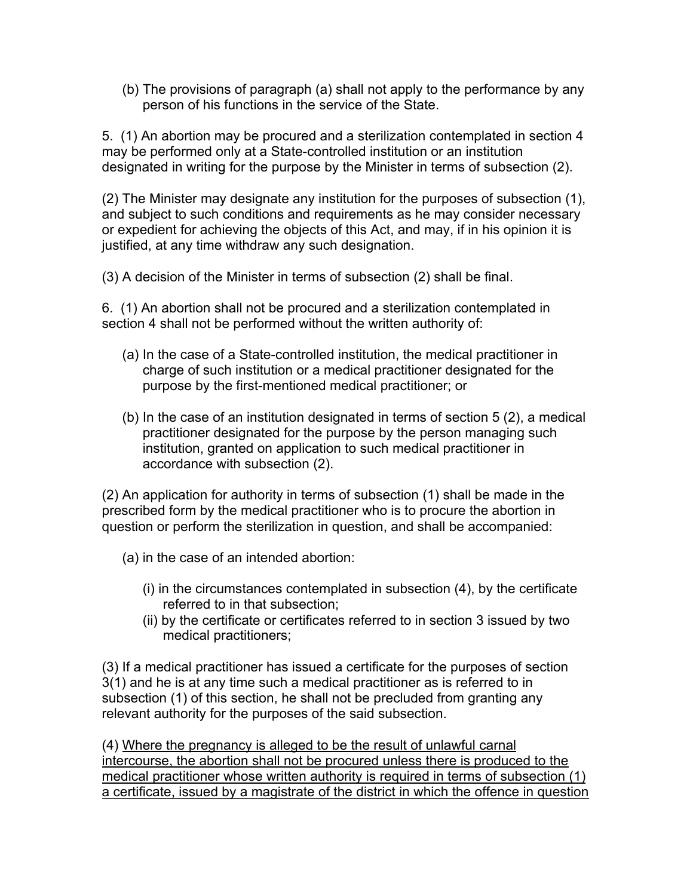(b) The provisions of paragraph (a) shall not apply to the performance by any person of his functions in the service of the State.

5. (1) An abortion may be procured and a sterilization contemplated in section 4 may be performed only at a State-controlled institution or an institution designated in writing for the purpose by the Minister in terms of subsection (2).

(2) The Minister may designate any institution for the purposes of subsection (1), and subject to such conditions and requirements as he may consider necessary or expedient for achieving the objects of this Act, and may, if in his opinion it is justified, at any time withdraw any such designation.

(3) A decision of the Minister in terms of subsection (2) shall be final.

6. (1) An abortion shall not be procured and a sterilization contemplated in section 4 shall not be performed without the written authority of:

- (a) In the case of a State-controlled institution, the medical practitioner in charge of such institution or a medical practitioner designated for the purpose by the first-mentioned medical practitioner; or
- (b) In the case of an institution designated in terms of section 5 (2), a medical practitioner designated for the purpose by the person managing such institution, granted on application to such medical practitioner in accordance with subsection (2).

(2) An application for authority in terms of subsection (1) shall be made in the prescribed form by the medical practitioner who is to procure the abortion in question or perform the sterilization in question, and shall be accompanied:

- (a) in the case of an intended abortion:
	- (i) in the circumstances contemplated in subsection (4), by the certificate referred to in that subsection;
	- (ii) by the certificate or certificates referred to in section 3 issued by two medical practitioners;

(3) If a medical practitioner has issued a certificate for the purposes of section 3(1) and he is at any time such a medical practitioner as is referred to in subsection (1) of this section, he shall not be precluded from granting any relevant authority for the purposes of the said subsection.

(4) Where the pregnancy is alleged to be the result of unlawful carnal intercourse, the abortion shall not be procured unless there is produced to the medical practitioner whose written authority is required in terms of subsection (1) a certificate, issued by a magistrate of the district in which the offence in question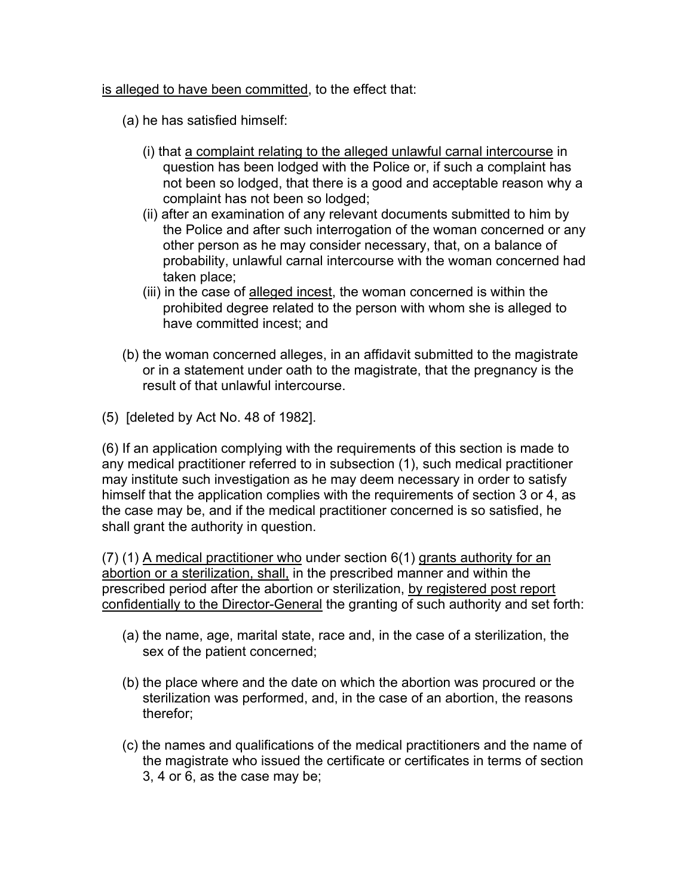## is alleged to have been committed, to the effect that:

- (a) he has satisfied himself:
	- (i) that a complaint relating to the alleged unlawful carnal intercourse in question has been lodged with the Police or, if such a complaint has not been so lodged, that there is a good and acceptable reason why a complaint has not been so lodged;
	- (ii) after an examination of any relevant documents submitted to him by the Police and after such interrogation of the woman concerned or any other person as he may consider necessary, that, on a balance of probability, unlawful carnal intercourse with the woman concerned had taken place;
	- (iii) in the case of alleged incest, the woman concerned is within the prohibited degree related to the person with whom she is alleged to have committed incest; and
- (b) the woman concerned alleges, in an affidavit submitted to the magistrate or in a statement under oath to the magistrate, that the pregnancy is the result of that unlawful intercourse.
- (5) [deleted by Act No. 48 of 1982].

(6) If an application complying with the requirements of this section is made to any medical practitioner referred to in subsection (1), such medical practitioner may institute such investigation as he may deem necessary in order to satisfy himself that the application complies with the requirements of section 3 or 4, as the case may be, and if the medical practitioner concerned is so satisfied, he shall grant the authority in question.

(7) (1) A medical practitioner who under section 6(1) grants authority for an abortion or a sterilization, shall, in the prescribed manner and within the prescribed period after the abortion or sterilization, by registered post report confidentially to the Director-General the granting of such authority and set forth:

- (a) the name, age, marital state, race and, in the case of a sterilization, the sex of the patient concerned;
- (b) the place where and the date on which the abortion was procured or the sterilization was performed, and, in the case of an abortion, the reasons therefor;
- (c) the names and qualifications of the medical practitioners and the name of the magistrate who issued the certificate or certificates in terms of section 3, 4 or 6, as the case may be;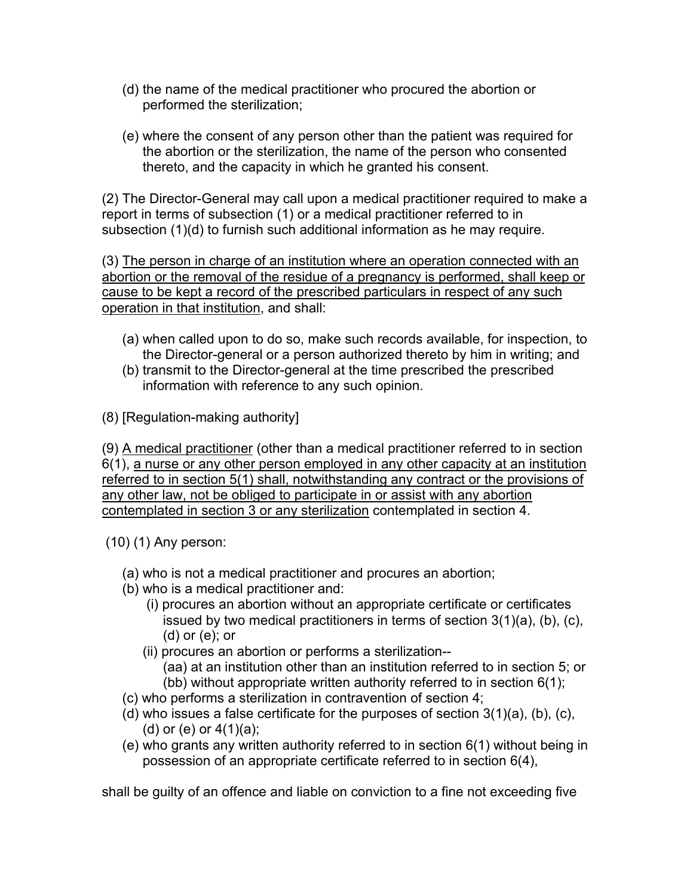- (d) the name of the medical practitioner who procured the abortion or performed the sterilization;
- (e) where the consent of any person other than the patient was required for the abortion or the sterilization, the name of the person who consented thereto, and the capacity in which he granted his consent.

(2) The Director-General may call upon a medical practitioner required to make a report in terms of subsection (1) or a medical practitioner referred to in subsection (1)(d) to furnish such additional information as he may require.

(3) The person in charge of an institution where an operation connected with an abortion or the removal of the residue of a pregnancy is performed, shall keep or cause to be kept a record of the prescribed particulars in respect of any such operation in that institution, and shall:

- (a) when called upon to do so, make such records available, for inspection, to the Director-general or a person authorized thereto by him in writing; and
- (b) transmit to the Director-general at the time prescribed the prescribed information with reference to any such opinion.

(8) [Regulation-making authority]

(9) A medical practitioner (other than a medical practitioner referred to in section 6(1), a nurse or any other person employed in any other capacity at an institution referred to in section 5(1) shall, notwithstanding any contract or the provisions of any other law, not be obliged to participate in or assist with any abortion contemplated in section 3 or any sterilization contemplated in section 4.

(10) (1) Any person:

- (a) who is not a medical practitioner and procures an abortion;
- (b) who is a medical practitioner and:
	- (i) procures an abortion without an appropriate certificate or certificates issued by two medical practitioners in terms of section 3(1)(a), (b), (c), (d) or (e); or
	- (ii) procures an abortion or performs a sterilization-- (aa) at an institution other than an institution referred to in section 5; or (bb) without appropriate written authority referred to in section 6(1);
- (c) who performs a sterilization in contravention of section 4;
- (d) who issues a false certificate for the purposes of section  $3(1)(a)$ , (b), (c), (d) or  $(e)$  or  $4(1)(a)$ ;
- (e) who grants any written authority referred to in section 6(1) without being in possession of an appropriate certificate referred to in section 6(4),

shall be guilty of an offence and liable on conviction to a fine not exceeding five